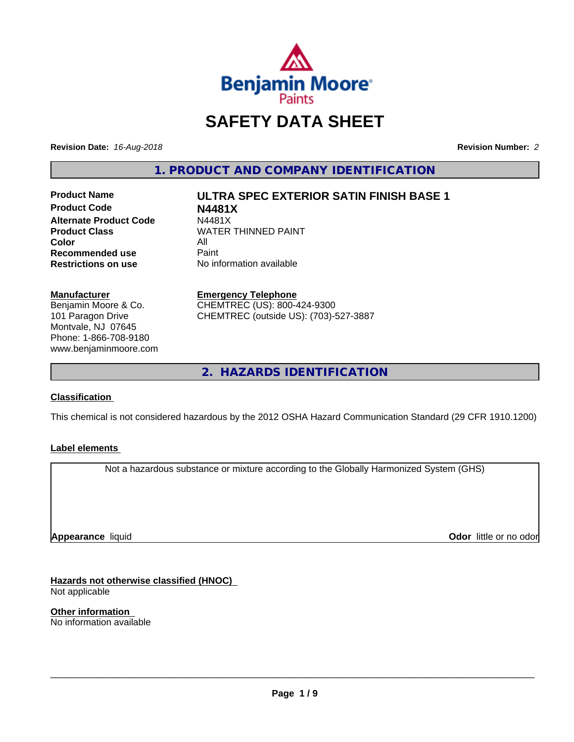

# **SAFETY DATA SHEET**

**Revision Date:** *16-Aug-2018* **Revision Number:** *2*

**1. PRODUCT AND COMPANY IDENTIFICATION**

**Product Code N4481X Alternate Product Code**<br>Product Class **Color** All<br> **Recommended use** Paint **Recommended use**<br>Restrictions on use

**Product Name ULTRA SPEC EXTERIOR SATIN FINISH BASE 1**

**WATER THINNED PAINT No information available** 

**Manufacturer**

Benjamin Moore & Co. 101 Paragon Drive Montvale, NJ 07645 Phone: 1-866-708-9180 www.benjaminmoore.com

#### **Emergency Telephone**

CHEMTREC (US): 800-424-9300 CHEMTREC (outside US): (703)-527-3887

**2. HAZARDS IDENTIFICATION**

## **Classification**

This chemical is not considered hazardous by the 2012 OSHA Hazard Communication Standard (29 CFR 1910.1200)

## **Label elements**

Not a hazardous substance or mixture according to the Globally Harmonized System (GHS)

**Appearance** liquid

**Odor** little or no odor

**Hazards not otherwise classified (HNOC)** Not applicable

**Other information** No information available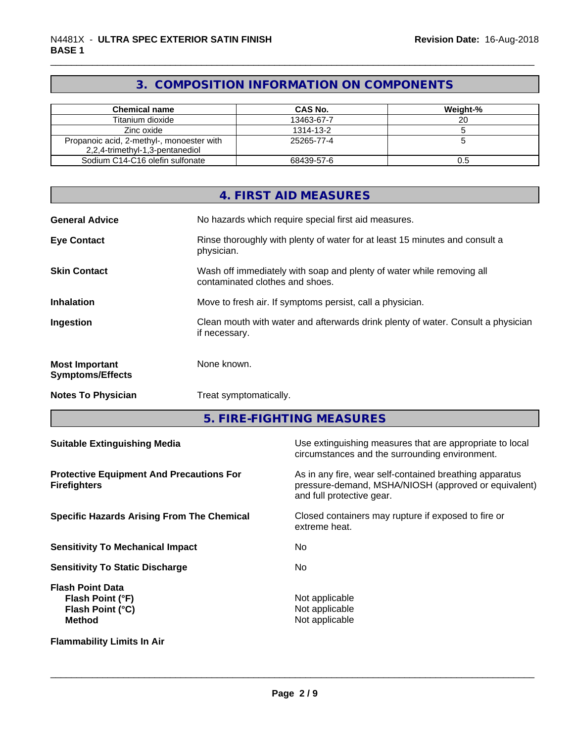## **3. COMPOSITION INFORMATION ON COMPONENTS**

| <b>Chemical name</b>                      | CAS No.    | Weight-% |
|-------------------------------------------|------------|----------|
| Titanium dioxide                          | 13463-67-7 | 20       |
| Zinc oxide                                | 1314-13-2  |          |
| Propanoic acid, 2-methyl-, monoester with | 25265-77-4 |          |
| 2,2,4-trimethyl-1,3-pentanediol           |            |          |
| Sodium C14-C16 olefin sulfonate           | 68439-57-6 | 0.5      |

|                                                  | 4. FIRST AID MEASURES                                                                                    |
|--------------------------------------------------|----------------------------------------------------------------------------------------------------------|
| <b>General Advice</b>                            | No hazards which require special first aid measures.                                                     |
| <b>Eye Contact</b>                               | Rinse thoroughly with plenty of water for at least 15 minutes and consult a<br>physician.                |
| <b>Skin Contact</b>                              | Wash off immediately with soap and plenty of water while removing all<br>contaminated clothes and shoes. |
| <b>Inhalation</b>                                | Move to fresh air. If symptoms persist, call a physician.                                                |
| Ingestion                                        | Clean mouth with water and afterwards drink plenty of water. Consult a physician<br>if necessary.        |
| <b>Most Important</b><br><b>Symptoms/Effects</b> | None known.                                                                                              |
| <b>Notes To Physician</b>                        | Treat symptomatically.                                                                                   |
|                                                  |                                                                                                          |

**5. FIRE-FIGHTING MEASURES**

| <b>Suitable Extinguishing Media</b>                                              | Use extinguishing measures that are appropriate to local<br>circumstances and the surrounding environment.                                   |
|----------------------------------------------------------------------------------|----------------------------------------------------------------------------------------------------------------------------------------------|
| <b>Protective Equipment And Precautions For</b><br><b>Firefighters</b>           | As in any fire, wear self-contained breathing apparatus<br>pressure-demand, MSHA/NIOSH (approved or equivalent)<br>and full protective gear. |
| <b>Specific Hazards Arising From The Chemical</b>                                | Closed containers may rupture if exposed to fire or<br>extreme heat.                                                                         |
| <b>Sensitivity To Mechanical Impact</b>                                          | No.                                                                                                                                          |
| <b>Sensitivity To Static Discharge</b>                                           | No.                                                                                                                                          |
| <b>Flash Point Data</b><br>Flash Point (°F)<br>Flash Point (°C)<br><b>Method</b> | Not applicable<br>Not applicable<br>Not applicable                                                                                           |
| <b>Flammability Limits In Air</b>                                                |                                                                                                                                              |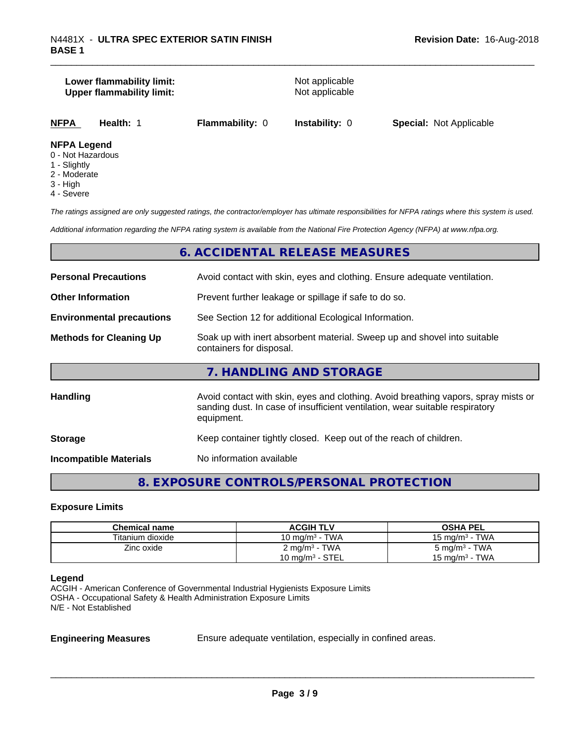## **Lower flammability limit:**<br> **Upper flammability limit:**<br>
Upper flammability limit:<br>
Not applicable **Upper flammability limit:**

**NFPA Health:** 1 **Flammability:** 0 **Instability:** 0 **Special:** Not Applicable

## **NFPA Legend**

- 0 Not Hazardous
- 1 Slightly
- 2 Moderate
- 3 High
- 4 Severe

*The ratings assigned are only suggested ratings, the contractor/employer has ultimate responsibilities for NFPA ratings where this system is used.*

*Additional information regarding the NFPA rating system is available from the National Fire Protection Agency (NFPA) at www.nfpa.org.*

## **6. ACCIDENTAL RELEASE MEASURES**

| <b>Personal Precautions</b>      | Avoid contact with skin, eyes and clothing. Ensure adequate ventilation.                                                                                                         |  |
|----------------------------------|----------------------------------------------------------------------------------------------------------------------------------------------------------------------------------|--|
| <b>Other Information</b>         | Prevent further leakage or spillage if safe to do so.                                                                                                                            |  |
| <b>Environmental precautions</b> | See Section 12 for additional Ecological Information.                                                                                                                            |  |
| <b>Methods for Cleaning Up</b>   | Soak up with inert absorbent material. Sweep up and shovel into suitable<br>containers for disposal.                                                                             |  |
|                                  | 7. HANDLING AND STORAGE                                                                                                                                                          |  |
| Handling                         | Avoid contact with skin, eyes and clothing. Avoid breathing vapors, spray mists or<br>sanding dust. In case of insufficient ventilation, wear suitable respiratory<br>equipment. |  |
| <b>Storage</b>                   | Keep container tightly closed. Keep out of the reach of children.                                                                                                                |  |
| <b>Incompatible Materials</b>    | No information available                                                                                                                                                         |  |

## **8. EXPOSURE CONTROLS/PERSONAL PROTECTION**

#### **Exposure Limits**

| <b>Chemical name</b> | <b>ACGIH TLV</b>         | <b>OSHA PEL</b>            |
|----------------------|--------------------------|----------------------------|
| Titanium dioxide     | 10 mg/m $3$ - TWA        | 15 mg/m $3$ - TWA          |
| Zinc oxide           | $2 \text{ mg/m}^3$ - TWA | $5 \text{ mg/m}^3$ - TWA   |
|                      | 10 mg/m $3$ - STEL       | 15 mg/m <sup>3</sup> - TWA |

#### **Legend**

ACGIH - American Conference of Governmental Industrial Hygienists Exposure Limits OSHA - Occupational Safety & Health Administration Exposure Limits N/E - Not Established

**Engineering Measures** Ensure adequate ventilation, especially in confined areas.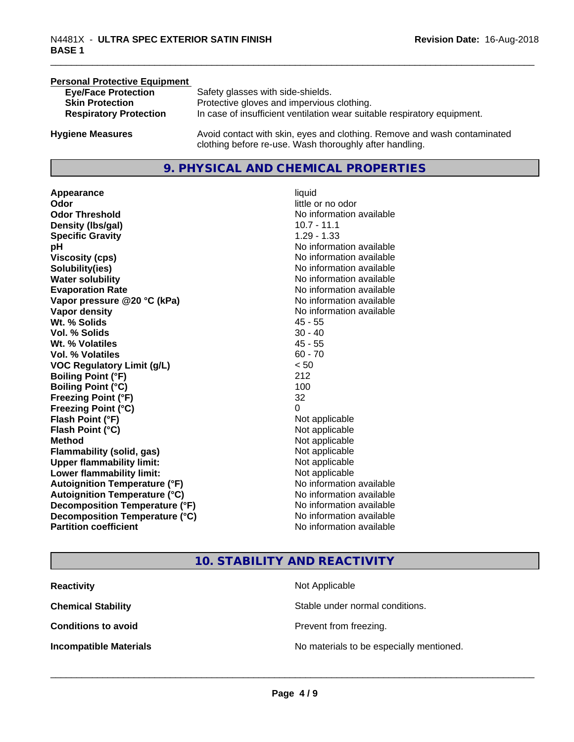#### **Personal Protective Equipment**

| <b>Eye/Face Protection</b>    | Safety glasses with side-shields.                                        |
|-------------------------------|--------------------------------------------------------------------------|
| <b>Skin Protection</b>        | Protective gloves and impervious clothing.                               |
| <b>Respiratory Protection</b> | In case of insufficient ventilation wear suitable respiratory equipment. |
| <b>Hygiene Measures</b>       | Avoid contact with skin, eyes and clothing. Remove and wash contaminated |

## **9. PHYSICAL AND CHEMICAL PROPERTIES**

clothing before re-use. Wash thoroughly after handling.

**Appearance** liquid **Odor**<br> **Odor Threshold**<br> **Odor Threshold**<br> **CODOR**<br> **CODOR**<br> **CODOR**<br> **CODOR**<br> **CODOR**<br> **CODOR**<br> **CODOR**<br> **CODOR**<br> **CODOR**<br> **CODOR Density (Ibs/gal)** 10.7 - 11.1 **Specific Gravity** 1.29 - 1.33 **pH pH**  $\blacksquare$ **Viscosity (cps)** No information available **Solubility(ies)** No information available **Water solubility** No information available **Evaporation Rate No information available No information available Vapor pressure @20 °C (kPa)** No information available **Vapor density** No information available **Wt. % Solids** 45 - 55 **Vol. % Solids** 30 - 40 **Wt. % Volatiles** 45 - 55 **Vol. % Volatiles** 60 - 70 **VOC Regulatory Limit (g/L)** < 50 **Boiling Point (°F)** 212 **Boiling Point**  $(°C)$  100 **Freezing Point (°F)** 32 **Freezing Point (°C)** 0 **Flash Point (°F)**<br> **Flash Point (°C)**<br> **Flash Point (°C)**<br> **Point (°C)**<br> **Point (°C)**<br> **Point (°C)**<br> **Point (°C)**<br> **Point (°C) Flash Point (°C) Method** Not applicable **Flammability (solid, gas)** Not applicable **Upper flammability limit:** Not applicable **Lower flammability limit:** Not applicable **Autoignition Temperature (°F)** No information available **Autoignition Temperature (°C)** No information available **Decomposition Temperature (°F)**<br> **Decomposition Temperature (°C)** No information available **Decomposition Temperature (°C) Partition coefficient Contract Contract Contract Contract Contract Contract Contract Contract Contract Contract Contract Contract Contract Contract Contract Contract Contract Contract Contract Contract Contract Contract** 

**No information available** 

## **10. STABILITY AND REACTIVITY**

| <b>Reactivity</b>             | Not Applicable                           |
|-------------------------------|------------------------------------------|
| <b>Chemical Stability</b>     | Stable under normal conditions.          |
| <b>Conditions to avoid</b>    | Prevent from freezing.                   |
| <b>Incompatible Materials</b> | No materials to be especially mentioned. |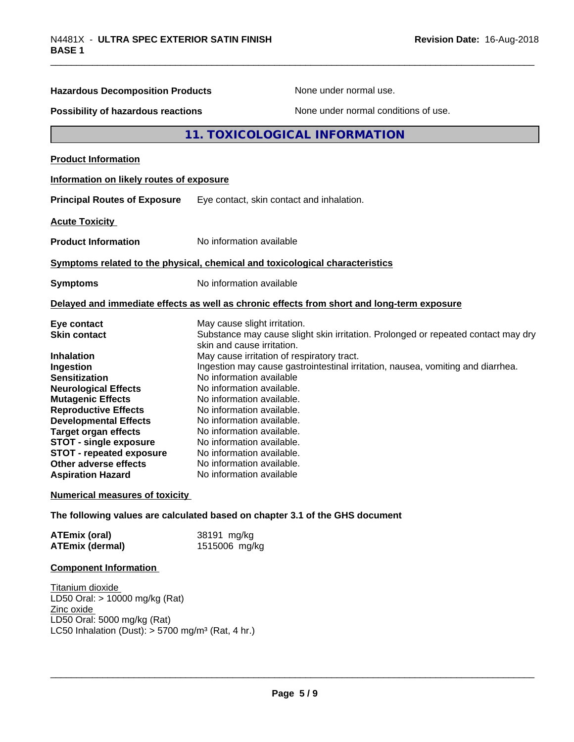| <b>Hazardous Decomposition Products</b>                                                                                                                                                                                                                                                                                                  | None under normal use.                                                                                                                                                                                                                                                                                                                                                                                                        |  |  |
|------------------------------------------------------------------------------------------------------------------------------------------------------------------------------------------------------------------------------------------------------------------------------------------------------------------------------------------|-------------------------------------------------------------------------------------------------------------------------------------------------------------------------------------------------------------------------------------------------------------------------------------------------------------------------------------------------------------------------------------------------------------------------------|--|--|
| Possibility of hazardous reactions                                                                                                                                                                                                                                                                                                       | None under normal conditions of use.                                                                                                                                                                                                                                                                                                                                                                                          |  |  |
|                                                                                                                                                                                                                                                                                                                                          | 11. TOXICOLOGICAL INFORMATION                                                                                                                                                                                                                                                                                                                                                                                                 |  |  |
| <b>Product Information</b>                                                                                                                                                                                                                                                                                                               |                                                                                                                                                                                                                                                                                                                                                                                                                               |  |  |
| Information on likely routes of exposure                                                                                                                                                                                                                                                                                                 |                                                                                                                                                                                                                                                                                                                                                                                                                               |  |  |
| <b>Principal Routes of Exposure</b>                                                                                                                                                                                                                                                                                                      | Eye contact, skin contact and inhalation.                                                                                                                                                                                                                                                                                                                                                                                     |  |  |
| <b>Acute Toxicity</b>                                                                                                                                                                                                                                                                                                                    |                                                                                                                                                                                                                                                                                                                                                                                                                               |  |  |
| <b>Product Information</b>                                                                                                                                                                                                                                                                                                               | No information available                                                                                                                                                                                                                                                                                                                                                                                                      |  |  |
| Symptoms related to the physical, chemical and toxicological characteristics                                                                                                                                                                                                                                                             |                                                                                                                                                                                                                                                                                                                                                                                                                               |  |  |
| <b>Symptoms</b>                                                                                                                                                                                                                                                                                                                          | No information available                                                                                                                                                                                                                                                                                                                                                                                                      |  |  |
|                                                                                                                                                                                                                                                                                                                                          | Delayed and immediate effects as well as chronic effects from short and long-term exposure                                                                                                                                                                                                                                                                                                                                    |  |  |
| Eye contact<br><b>Skin contact</b>                                                                                                                                                                                                                                                                                                       | May cause slight irritation.<br>Substance may cause slight skin irritation. Prolonged or repeated contact may dry<br>skin and cause irritation.                                                                                                                                                                                                                                                                               |  |  |
| <b>Inhalation</b><br>Ingestion<br><b>Sensitization</b><br><b>Neurological Effects</b><br><b>Mutagenic Effects</b><br><b>Reproductive Effects</b><br><b>Developmental Effects</b><br><b>Target organ effects</b><br><b>STOT - single exposure</b><br><b>STOT - repeated exposure</b><br>Other adverse effects<br><b>Aspiration Hazard</b> | May cause irritation of respiratory tract.<br>Ingestion may cause gastrointestinal irritation, nausea, vomiting and diarrhea.<br>No information available<br>No information available.<br>No information available.<br>No information available.<br>No information available.<br>No information available.<br>No information available.<br>No information available.<br>No information available.<br>No information available |  |  |
| <b>Numerical measures of toxicity</b>                                                                                                                                                                                                                                                                                                    |                                                                                                                                                                                                                                                                                                                                                                                                                               |  |  |
|                                                                                                                                                                                                                                                                                                                                          | The following values are calculated based on chapter 3.1 of the GHS document                                                                                                                                                                                                                                                                                                                                                  |  |  |
| <b>ATEmix (oral)</b><br><b>ATEmix (dermal)</b>                                                                                                                                                                                                                                                                                           | 38191 mg/kg<br>1515006 mg/kg                                                                                                                                                                                                                                                                                                                                                                                                  |  |  |
| <b>Component Information</b>                                                                                                                                                                                                                                                                                                             |                                                                                                                                                                                                                                                                                                                                                                                                                               |  |  |

Titanium dioxide LD50 Oral: > 10000 mg/kg (Rat) Zinc oxide LD50 Oral: 5000 mg/kg (Rat) LC50 Inhalation (Dust): > 5700 mg/m³ (Rat, 4 hr.)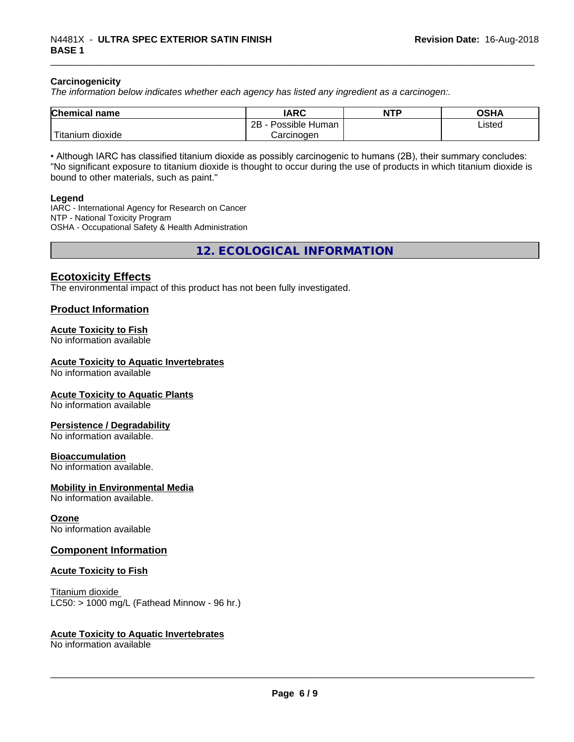#### **Carcinogenicity**

*The information below indicateswhether each agency has listed any ingredient as a carcinogen:.*

| <b>Chemical</b><br>name     | <b>IARC</b>                      | <b>NTP</b> | <b>OSHA</b> |
|-----------------------------|----------------------------------|------------|-------------|
|                             | . .<br>2Β<br>: Human<br>Possible |            | Listed      |
| , dioxide<br><b>itanium</b> | Carcinoɑen                       |            |             |

• Although IARC has classified titanium dioxide as possibly carcinogenic to humans (2B), their summary concludes: "No significant exposure to titanium dioxide is thought to occur during the use of products in which titanium dioxide is bound to other materials, such as paint."

#### **Legend**

IARC - International Agency for Research on Cancer NTP - National Toxicity Program OSHA - Occupational Safety & Health Administration

**12. ECOLOGICAL INFORMATION**

## **Ecotoxicity Effects**

The environmental impact of this product has not been fully investigated.

## **Product Information**

#### **Acute Toxicity to Fish**

No information available

#### **Acute Toxicity to Aquatic Invertebrates**

No information available

#### **Acute Toxicity to Aquatic Plants**

No information available

#### **Persistence / Degradability**

No information available.

#### **Bioaccumulation**

No information available.

#### **Mobility in Environmental Media**

No information available.

#### **Ozone**

No information available

#### **Component Information**

#### **Acute Toxicity to Fish**

Titanium dioxide  $LC50:$  > 1000 mg/L (Fathead Minnow - 96 hr.)

#### **Acute Toxicity to Aquatic Invertebrates**

No information available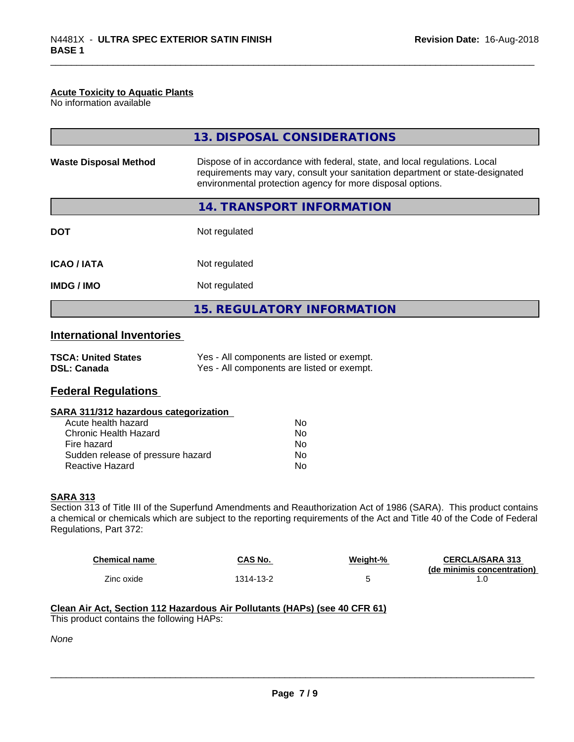## **Acute Toxicity to Aquatic Plants**

No information available

|                                                  | 13. DISPOSAL CONSIDERATIONS                                                                                                                                                                                               |  |
|--------------------------------------------------|---------------------------------------------------------------------------------------------------------------------------------------------------------------------------------------------------------------------------|--|
| <b>Waste Disposal Method</b>                     | Dispose of in accordance with federal, state, and local regulations. Local<br>requirements may vary, consult your sanitation department or state-designated<br>environmental protection agency for more disposal options. |  |
|                                                  | 14. TRANSPORT INFORMATION                                                                                                                                                                                                 |  |
| <b>DOT</b>                                       | Not regulated                                                                                                                                                                                                             |  |
| <b>ICAO/IATA</b>                                 | Not regulated                                                                                                                                                                                                             |  |
| <b>IMDG/IMO</b>                                  | Not regulated                                                                                                                                                                                                             |  |
|                                                  | <b>15. REGULATORY INFORMATION</b>                                                                                                                                                                                         |  |
| <b>International Inventories</b>                 |                                                                                                                                                                                                                           |  |
| <b>TSCA: United States</b><br><b>DSL: Canada</b> | Yes - All components are listed or exempt.<br>Yes - All components are listed or exempt.                                                                                                                                  |  |

## **Federal Regulations**

## **SARA 311/312 hazardous categorization**

| Acute health hazard               | Nο |
|-----------------------------------|----|
| Chronic Health Hazard             | Nο |
| Fire hazard                       | Nο |
| Sudden release of pressure hazard | Nο |
| Reactive Hazard                   | N٥ |

#### **SARA 313**

Section 313 of Title III of the Superfund Amendments and Reauthorization Act of 1986 (SARA). This product contains a chemical or chemicals which are subject to the reporting requirements of the Act and Title 40 of the Code of Federal Regulations, Part 372:

| <b>Chemical name</b> | <b>CAS No.</b> | Weight-% | <b>CERCLA/SARA 313</b>     |
|----------------------|----------------|----------|----------------------------|
|                      |                |          | (de minimis concentration) |
| Zinc oxide           | '314-13-2      |          |                            |

 $\overline{\phantom{a}}$  ,  $\overline{\phantom{a}}$  ,  $\overline{\phantom{a}}$  ,  $\overline{\phantom{a}}$  ,  $\overline{\phantom{a}}$  ,  $\overline{\phantom{a}}$  ,  $\overline{\phantom{a}}$  ,  $\overline{\phantom{a}}$  ,  $\overline{\phantom{a}}$  ,  $\overline{\phantom{a}}$  ,  $\overline{\phantom{a}}$  ,  $\overline{\phantom{a}}$  ,  $\overline{\phantom{a}}$  ,  $\overline{\phantom{a}}$  ,  $\overline{\phantom{a}}$  ,  $\overline{\phantom{a}}$ 

### **Clean Air Act,Section 112 Hazardous Air Pollutants (HAPs) (see 40 CFR 61)** This product contains the following HAPs:

*None*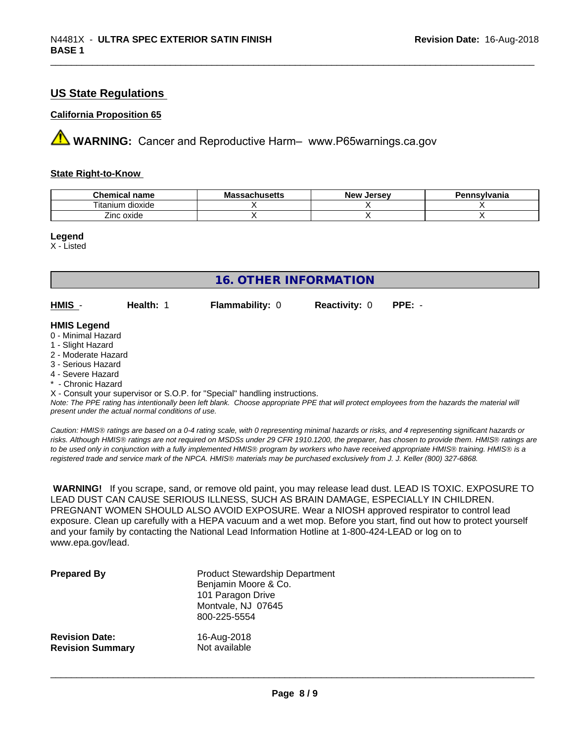## **US State Regulations**

## **California Proposition 65**

**AVIMARNING:** Cancer and Reproductive Harm– www.P65warnings.ca.gov

#### **State Right-to-Know**

| Chemical<br>name                      | - -<br>.<br>IVIA<br>aunuscus | <b>Jerse</b> v<br><b>Nev</b> | svivania |
|---------------------------------------|------------------------------|------------------------------|----------|
| $-$<br>.<br>dioxide<br>um<br>. itanii |                              |                              |          |
| Zinc oxide                            |                              |                              |          |

**Legend**

X - Listed

| <b>16. OTHER INFORMATION</b>                                                                                                                                                                                                                                                                                                                                                                                                               |           |                        |                      |          |  |  |
|--------------------------------------------------------------------------------------------------------------------------------------------------------------------------------------------------------------------------------------------------------------------------------------------------------------------------------------------------------------------------------------------------------------------------------------------|-----------|------------------------|----------------------|----------|--|--|
| HMIS -                                                                                                                                                                                                                                                                                                                                                                                                                                     | Health: 1 | <b>Flammability: 0</b> | <b>Reactivity: 0</b> | $PPE: -$ |  |  |
| <b>HMIS Legend</b><br>0 - Minimal Hazard<br>1 - Slight Hazard<br>2 - Moderate Hazard<br>3 - Serious Hazard<br>4 - Severe Hazard<br>* - Chronic Hazard<br>X - Consult your supervisor or S.O.P. for "Special" handling instructions.<br>Note: The PPE rating has intentionally been left blank. Choose appropriate PPE that will protect employees from the hazards the material will<br>present under the actual normal conditions of use. |           |                        |                      |          |  |  |

*Caution: HMISÒ ratings are based on a 0-4 rating scale, with 0 representing minimal hazards or risks, and 4 representing significant hazards or risks. Although HMISÒ ratings are not required on MSDSs under 29 CFR 1910.1200, the preparer, has chosen to provide them. HMISÒ ratings are to be used only in conjunction with a fully implemented HMISÒ program by workers who have received appropriate HMISÒ training. HMISÒ is a registered trade and service mark of the NPCA. HMISÒ materials may be purchased exclusively from J. J. Keller (800) 327-6868.*

 **WARNING!** If you scrape, sand, or remove old paint, you may release lead dust. LEAD IS TOXIC. EXPOSURE TO LEAD DUST CAN CAUSE SERIOUS ILLNESS, SUCH AS BRAIN DAMAGE, ESPECIALLY IN CHILDREN. PREGNANT WOMEN SHOULD ALSO AVOID EXPOSURE. Wear a NIOSH approved respirator to control lead exposure. Clean up carefully with a HEPA vacuum and a wet mop. Before you start, find out how to protect yourself and your family by contacting the National Lead Information Hotline at 1-800-424-LEAD or log on to www.epa.gov/lead.

| <b>Prepared By</b>      | <b>Product Stewardship Department</b><br>Benjamin Moore & Co.<br>101 Paragon Drive<br>Montvale, NJ 07645<br>800-225-5554 |
|-------------------------|--------------------------------------------------------------------------------------------------------------------------|
| <b>Revision Date:</b>   | 16-Aug-2018                                                                                                              |
| <b>Revision Summary</b> | Not available                                                                                                            |